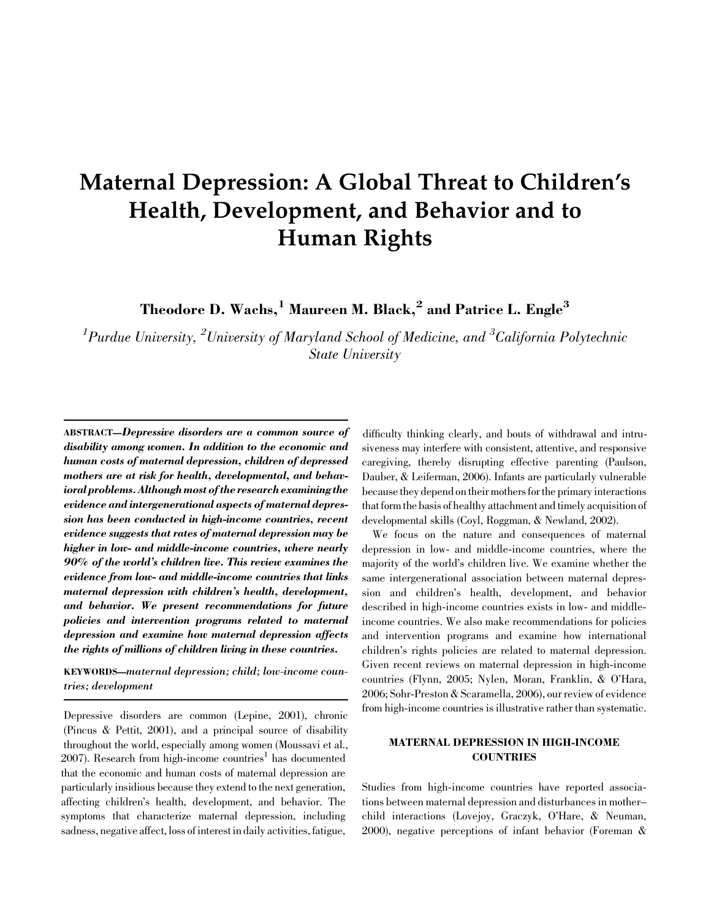# Maternal Depression: A Global Threat to Children's Health, Development, and Behavior and to Human Rights

Theodore D. Wachs,<sup>1</sup> Maureen M. Black,<sup>2</sup> and Patrice L. Engle<sup>3</sup>

 ${}^{1}\!P$ urdue University,  ${}^{2}\!U$ niversity of Maryland School of Medicine, and  ${}^{3}\!California$  Polytechnic State University

ABSTRACT—Depressive disorders are a common source of disability among women. In addition to the economic and human costs of maternal depression, children of depressed mothers are at risk for health, developmental, and behavioral problems. Although most of the research examining the evidence and intergenerational aspects of maternal depression has been conducted in high-income countries, recent evidence suggests that rates of maternal depression may be higher in low- and middle-income countries, where nearly 90% of the world's children live. This review examines the evidence from low- and middle-income countries that links maternal depression with children's health, development, and behavior. We present recommendations for future policies and intervention programs related to maternal depression and examine how maternal depression affects the rights of millions of children living in these countries.

KEYWORDS—maternal depression; child; low-income countries; development

Depressive disorders are common (Lepine, 2001), chronic (Pincus & Pettit, 2001), and a principal source of disability throughout the world, especially among women (Moussavi et al.,  $2007$ ). Research from high-income countries<sup>1</sup> has documented that the economic and human costs of maternal depression are particularly insidious because they extend to the next generation, affecting children's health, development, and behavior. The symptoms that characterize maternal depression, including sadness, negative affect, loss of interest in daily activities, fatigue,

difficulty thinking clearly, and bouts of withdrawal and intrusiveness may interfere with consistent, attentive, and responsive caregiving, thereby disrupting effective parenting (Paulson, Dauber, & Leiferman, 2006). Infants are particularly vulnerable because they depend on their mothers for the primary interactions that form the basis of healthy attachment and timely acquisition of developmental skills (Coyl, Roggman, & Newland, 2002).

We focus on the nature and consequences of maternal depression in low- and middle-income countries, where the majority of the world's children live. We examine whether the same intergenerational association between maternal depression and children's health, development, and behavior described in high-income countries exists in low- and middleincome countries. We also make recommendations for policies and intervention programs and examine how international children's rights policies are related to maternal depression. Given recent reviews on maternal depression in high-income countries (Flynn, 2005; Nylen, Moran, Franklin, & O'Hara, 2006; Sohr-Preston & Scaramella, 2006), our review of evidence from high-income countries is illustrative rather than systematic.

# MATERNAL DEPRESSION IN HIGH-INCOME **COUNTRIES**

Studies from high-income countries have reported associations between maternal depression and disturbances in mother– child interactions (Lovejoy, Graczyk, O'Hare, & Neuman, 2000), negative perceptions of infant behavior (Foreman &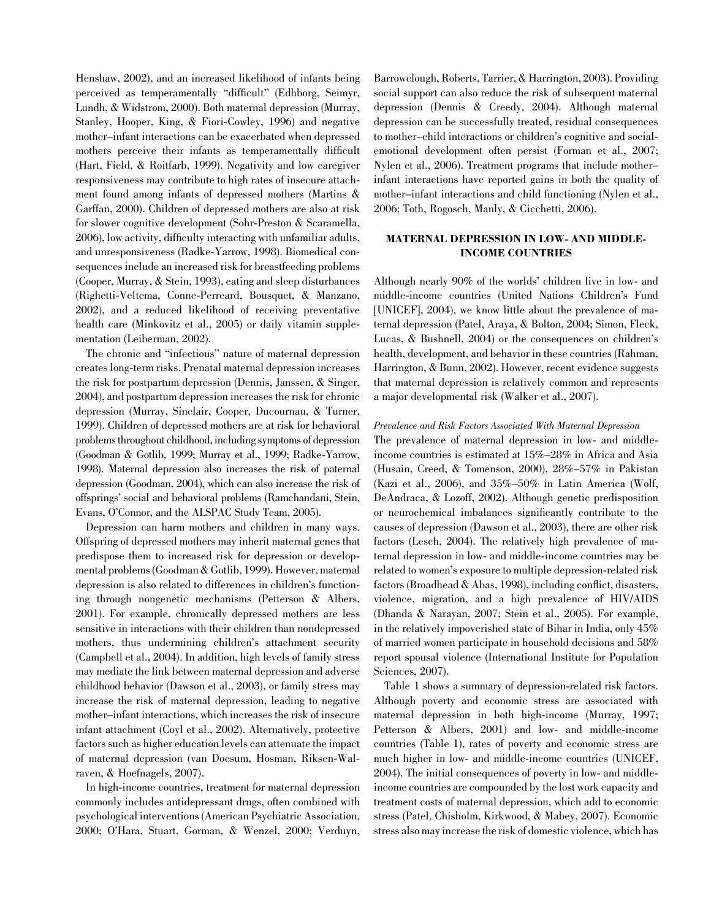Henshaw, 2002), and an increased likelihood of infants being perceived as temperamentally ''difficult'' (Edhborg, Seimyr, Lundh, & Widstrom, 2000). Both maternal depression (Murray, Stanley, Hooper, King, & Fiori-Cowley, 1996) and negative mother–infant interactions can be exacerbated when depressed mothers perceive their infants as temperamentally difficult (Hart, Field, & Roitfarb, 1999). Negativity and low caregiver responsiveness may contribute to high rates of insecure attachment found among infants of depressed mothers (Martins & Garffan, 2000). Children of depressed mothers are also at risk for slower cognitive development (Sohr-Preston & Scaramella, 2006), low activity, difficulty interacting with unfamiliar adults, and unresponsiveness (Radke-Yarrow, 1998). Biomedical consequences include an increased risk for breastfeeding problems (Cooper, Murray, & Stein, 1993), eating and sleep disturbances (Righetti-Veltema, Conne-Perreard, Bousquet, & Manzano, 2002), and a reduced likelihood of receiving preventative health care (Minkovitz et al., 2005) or daily vitamin supplementation (Leiberman, 2002).

The chronic and ''infectious'' nature of maternal depression creates long-term risks. Prenatal maternal depression increases the risk for postpartum depression (Dennis, Janssen, & Singer, 2004), and postpartum depression increases the risk for chronic depression (Murray, Sinclair, Cooper, Ducournau, & Turner, 1999). Children of depressed mothers are at risk for behavioral problems throughout childhood, including symptoms of depression (Goodman & Gotlib, 1999; Murray et al., 1999; Radke-Yarrow, 1998). Maternal depression also increases the risk of paternal depression (Goodman, 2004), which can also increase the risk of offsprings' social and behavioral problems (Ramchandani, Stein, Evans, O'Connor, and the ALSPAC Study Team, 2005).

Depression can harm mothers and children in many ways. Offspring of depressed mothers may inherit maternal genes that predispose them to increased risk for depression or developmental problems (Goodman & Gotlib, 1999). However, maternal depression is also related to differences in children's functioning through nongenetic mechanisms (Petterson & Albers, 2001). For example, chronically depressed mothers are less sensitive in interactions with their children than nondepressed mothers, thus undermining children's attachment security (Campbell et al., 2004). In addition, high levels of family stress may mediate the link between maternal depression and adverse childhood behavior (Dawson et al., 2003), or family stress may increase the risk of maternal depression, leading to negative mother–infant interactions, which increases the risk of insecure infant attachment (Coyl et al., 2002). Alternatively, protective factors such as higher education levels can attenuate the impact of maternal depression (van Doesum, Hosman, Riksen-Walraven, & Hoefnagels, 2007).

In high-income countries, treatment for maternal depression commonly includes antidepressant drugs, often combined with psychological interventions (American Psychiatric Association, 2000; O'Hara, Stuart, Gorman, & Wenzel, 2000; Verduyn, stress also may increase the risk of domestic violence, which has

Barrowclough, Roberts, Tarrier, & Harrington, 2003). Providing social support can also reduce the risk of subsequent maternal depression (Dennis & Creedy, 2004). Although maternal depression can be successfully treated, residual consequences to mother–child interactions or children's cognitive and socialemotional development often persist (Forman et al., 2007; Nylen et al., 2006). Treatment programs that include mother– infant interactions have reported gains in both the quality of mother–infant interactions and child functioning (Nylen et al., 2006; Toth, Rogosch, Manly, & Cicchetti, 2006).

# MATERNAL DEPRESSION IN LOW- AND MIDDLE-INCOME COUNTRIES

Although nearly 90% of the worlds' children live in low- and middle-income countries (United Nations Children's Fund [UNICEF], 2004), we know little about the prevalence of maternal depression (Patel, Araya, & Bolton, 2004; Simon, Fleck, Lucas, & Bushnell, 2004) or the consequences on children's health, development, and behavior in these countries (Rahman, Harrington, & Bunn, 2002). However, recent evidence suggests that maternal depression is relatively common and represents a major developmental risk (Walker et al., 2007).

## Prevalence and Risk Factors Associated With Maternal Depression

The prevalence of maternal depression in low- and middleincome countries is estimated at 15%–28% in Africa and Asia (Husain, Creed, & Tomenson, 2000), 28%–57% in Pakistan (Kazi et al., 2006), and  $35\% - 50\%$  in Latin America (Wolf, DeAndraca, & Lozoff, 2002). Although genetic predisposition or neurochemical imbalances significantly contribute to the causes of depression (Dawson et al., 2003), there are other risk factors (Lesch, 2004). The relatively high prevalence of maternal depression in low- and middle-income countries may be related to women's exposure to multiple depression-related risk factors (Broadhead & Abas, 1998), including conflict, disasters, violence, migration, and a high prevalence of HIV/AIDS (Dhanda & Narayan, 2007; Stein et al., 2005). For example, in the relatively impoverished state of Bihar in India, only 45% of married women participate in household decisions and 58% report spousal violence (International Institute for Population Sciences, 2007).

Table 1 shows a summary of depression-related risk factors. Although poverty and economic stress are associated with maternal depression in both high-income (Murray, 1997; Petterson & Albers, 2001) and low- and middle-income countries (Table 1), rates of poverty and economic stress are much higher in low- and middle-income countries (UNICEF, 2004). The initial consequences of poverty in low- and middleincome countries are compounded by the lost work capacity and treatment costs of maternal depression, which add to economic stress (Patel, Chisholm, Kirkwood, & Mabey, 2007). Economic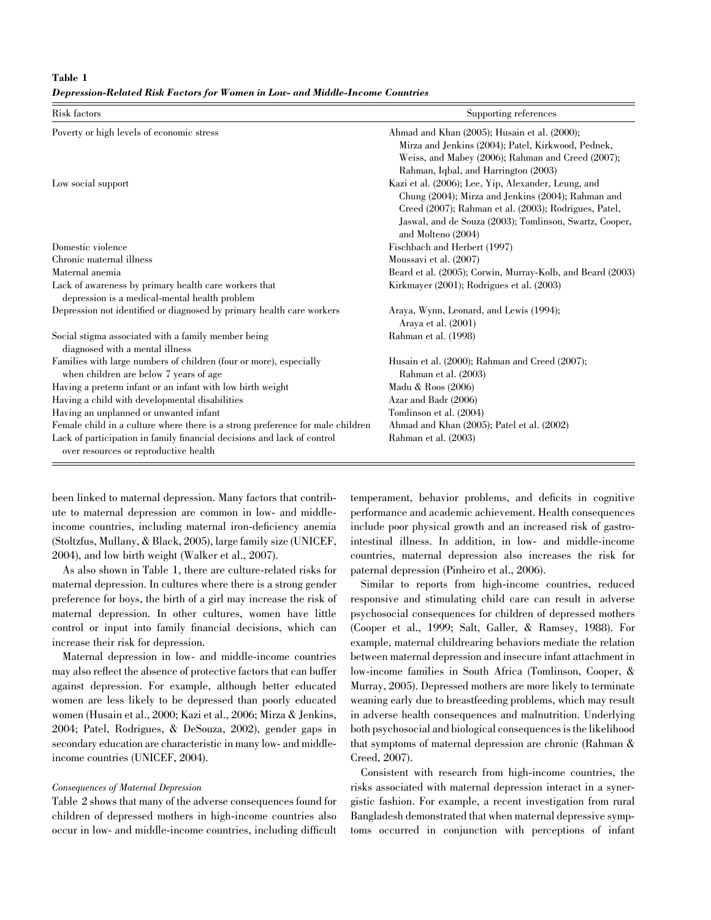Table 1

Depression-Related Risk Factors for Women in Low- and Middle-Income Countries

| Risk factors                                                                                                     | Supporting references                                                                                                                                                                                                                                                                       |
|------------------------------------------------------------------------------------------------------------------|---------------------------------------------------------------------------------------------------------------------------------------------------------------------------------------------------------------------------------------------------------------------------------------------|
| Poverty or high levels of economic stress                                                                        | Ahmad and Khan (2005); Husain et al. (2000);<br>Mirza and Jenkins (2004); Patel, Kirkwood, Pednek,<br>Weiss, and Mabey (2006); Rahman and Creed (2007);                                                                                                                                     |
| Low social support                                                                                               | Rahman, Iqbal, and Harrington (2003)<br>Kazi et al. (2006); Lee, Yip, Alexander, Leung, and<br>Chung (2004); Mirza and Jenkins (2004); Rahman and<br>Creed (2007); Rahman et al. (2003); Rodrigues, Patel,<br>Jaswal, and de Souza (2003); Tomlinson, Swartz, Cooper,<br>and Molteno (2004) |
| Domestic violence                                                                                                | Fischbach and Herbert (1997)                                                                                                                                                                                                                                                                |
| Chronic maternal illness                                                                                         | Moussavi et al. (2007)                                                                                                                                                                                                                                                                      |
| Maternal anemia                                                                                                  | Beard et al. (2005); Corwin, Murray-Kolb, and Beard (2003)                                                                                                                                                                                                                                  |
| Lack of awareness by primary health care workers that<br>depression is a medical-mental health problem           | Kirkmayer (2001); Rodrigues et al. (2003)                                                                                                                                                                                                                                                   |
| Depression not identified or diagnosed by primary health care workers                                            | Araya, Wynn, Leonard, and Lewis (1994);<br>Araya et al. (2001)                                                                                                                                                                                                                              |
| Social stigma associated with a family member being<br>diagnosed with a mental illness                           | Rahman et al. (1998)                                                                                                                                                                                                                                                                        |
| Families with large numbers of children (four or more), especially<br>when children are below 7 years of age     | Husain et al. (2000); Rahman and Creed (2007);<br>Rahman et al. (2003)                                                                                                                                                                                                                      |
| Having a preterm infant or an infant with low birth weight                                                       | Madu & Roos (2006)                                                                                                                                                                                                                                                                          |
| Having a child with developmental disabilities                                                                   | Azar and Badr (2006)                                                                                                                                                                                                                                                                        |
| Having an unplanned or unwanted infant                                                                           | Tomlinson et al. (2004)                                                                                                                                                                                                                                                                     |
| Female child in a culture where there is a strong preference for male children                                   | Ahmad and Khan (2005); Patel et al. (2002)                                                                                                                                                                                                                                                  |
| Lack of participation in family financial decisions and lack of control<br>over resources or reproductive health | Rahman et al. (2003)                                                                                                                                                                                                                                                                        |

been linked to maternal depression. Many factors that contribute to maternal depression are common in low- and middleincome countries, including maternal iron-deficiency anemia (Stoltzfus, Mullany, & Black, 2005), large family size (UNICEF, 2004), and low birth weight (Walker et al., 2007).

As also shown in Table 1, there are culture-related risks for maternal depression. In cultures where there is a strong gender preference for boys, the birth of a girl may increase the risk of maternal depression. In other cultures, women have little control or input into family financial decisions, which can increase their risk for depression.

Maternal depression in low- and middle-income countries may also reflect the absence of protective factors that can buffer against depression. For example, although better educated women are less likely to be depressed than poorly educated women (Husain et al., 2000; Kazi et al., 2006; Mirza & Jenkins, 2004; Patel, Rodrigues, & DeSouza, 2002), gender gaps in secondary education are characteristic in many low- and middleincome countries (UNICEF, 2004).

#### Consequences of Maternal Depression

Table 2 shows that many of the adverse consequences found for children of depressed mothers in high-income countries also occur in low- and middle-income countries, including difficult

temperament, behavior problems, and deficits in cognitive performance and academic achievement. Health consequences include poor physical growth and an increased risk of gastrointestinal illness. In addition, in low- and middle-income countries, maternal depression also increases the risk for paternal depression (Pinheiro et al., 2006).

Similar to reports from high-income countries, reduced responsive and stimulating child care can result in adverse psychosocial consequences for children of depressed mothers (Cooper et al., 1999; Salt, Galler, & Ramsey, 1988). For example, maternal childrearing behaviors mediate the relation between maternal depression and insecure infant attachment in low-income families in South Africa (Tomlinson, Cooper, & Murray, 2005). Depressed mothers are more likely to terminate weaning early due to breastfeeding problems, which may result in adverse health consequences and malnutrition. Underlying both psychosocial and biological consequences is the likelihood that symptoms of maternal depression are chronic (Rahman & Creed, 2007).

Consistent with research from high-income countries, the risks associated with maternal depression interact in a synergistic fashion. For example, a recent investigation from rural Bangladesh demonstrated that when maternal depressive symptoms occurred in conjunction with perceptions of infant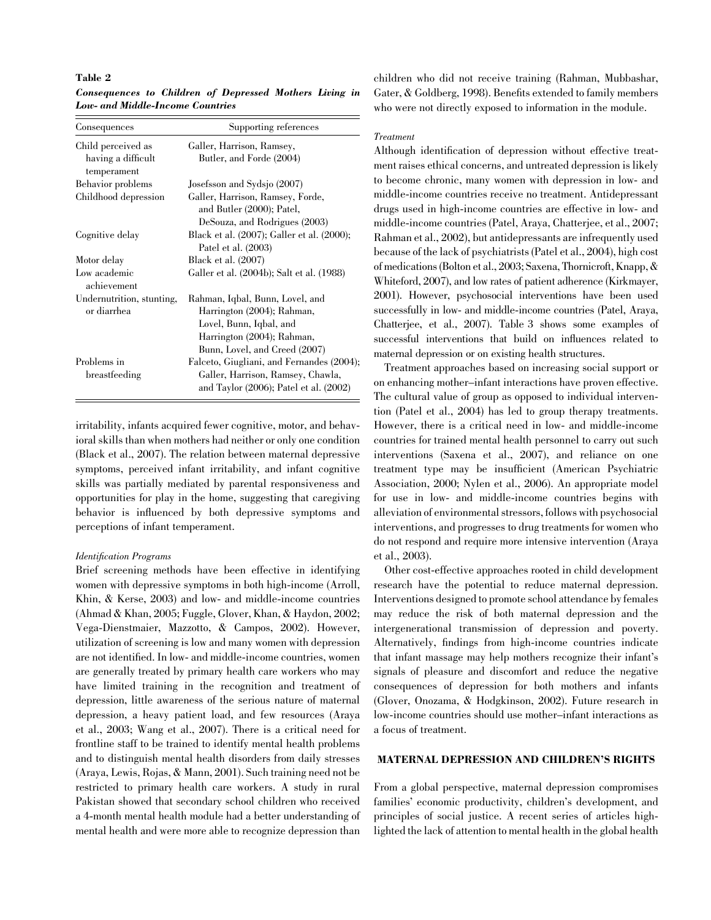#### Table 2

Consequences to Children of Depressed Mothers Living in Low- and Middle-Income Countries

| Consequences                             | Supporting references                                 |
|------------------------------------------|-------------------------------------------------------|
| Child perceived as<br>having a difficult | Galler, Harrison, Ramsey,<br>Butler, and Forde (2004) |
| temperament                              |                                                       |
| Behavior problems                        | Josefsson and Sydsjo (2007)                           |
| Childhood depression                     | Galler, Harrison, Ramsey, Forde,                      |
|                                          | and Butler (2000); Patel,                             |
|                                          | DeSouza, and Rodrigues (2003)                         |
| Cognitive delay                          | Black et al. (2007); Galler et al. (2000);            |
|                                          | Patel et al. (2003)                                   |
| Motor delay                              | Black et al. (2007)                                   |
| Low academic<br>achievement              | Galler et al. (2004b); Salt et al. (1988)             |
| Undernutrition, stunting,                | Rahman, Iqbal, Bunn, Lovel, and                       |
| or diarrhea                              | Harrington (2004); Rahman,                            |
|                                          | Lovel, Bunn, Iqbal, and                               |
|                                          | Harrington (2004); Rahman,                            |
|                                          | Bunn, Lovel, and Creed (2007)                         |
| Problems in                              | Falceto, Giugliani, and Fernandes (2004);             |
| breastfeeding                            | Galler, Harrison, Ramsey, Chawla,                     |
|                                          | and Taylor (2006); Patel et al. (2002)                |

irritability, infants acquired fewer cognitive, motor, and behavioral skills than when mothers had neither or only one condition (Black et al., 2007). The relation between maternal depressive symptoms, perceived infant irritability, and infant cognitive skills was partially mediated by parental responsiveness and opportunities for play in the home, suggesting that caregiving behavior is influenced by both depressive symptoms and perceptions of infant temperament.

#### Identification Programs

Brief screening methods have been effective in identifying women with depressive symptoms in both high-income (Arroll, Khin, & Kerse, 2003) and low- and middle-income countries (Ahmad & Khan, 2005; Fuggle, Glover, Khan, & Haydon, 2002; Vega-Dienstmaier, Mazzotto, & Campos, 2002). However, utilization of screening is low and many women with depression are not identified. In low- and middle-income countries, women are generally treated by primary health care workers who may have limited training in the recognition and treatment of depression, little awareness of the serious nature of maternal depression, a heavy patient load, and few resources (Araya et al., 2003; Wang et al., 2007). There is a critical need for frontline staff to be trained to identify mental health problems and to distinguish mental health disorders from daily stresses (Araya, Lewis, Rojas, & Mann, 2001). Such training need not be restricted to primary health care workers. A study in rural Pakistan showed that secondary school children who received a 4-month mental health module had a better understanding of mental health and were more able to recognize depression than lighted the lack of attention to mental health in the global health

children who did not receive training (Rahman, Mubbashar, Gater, & Goldberg, 1998). Benefits extended to family members who were not directly exposed to information in the module.

#### Treatment

Although identification of depression without effective treatment raises ethical concerns, and untreated depression is likely to become chronic, many women with depression in low- and middle-income countries receive no treatment. Antidepressant drugs used in high-income countries are effective in low- and middle-income countries (Patel, Araya, Chatterjee, et al., 2007; Rahman et al., 2002), but antidepressants are infrequently used because of the lack of psychiatrists (Patel et al., 2004), high cost of medications (Bolton et al., 2003; Saxena, Thornicroft, Knapp, & Whiteford, 2007), and low rates of patient adherence (Kirkmayer, 2001). However, psychosocial interventions have been used successfully in low- and middle-income countries (Patel, Araya, Chatterjee, et al., 2007). Table 3 shows some examples of successful interventions that build on influences related to maternal depression or on existing health structures.

Treatment approaches based on increasing social support or on enhancing mother–infant interactions have proven effective. The cultural value of group as opposed to individual intervention (Patel et al., 2004) has led to group therapy treatments. However, there is a critical need in low- and middle-income countries for trained mental health personnel to carry out such interventions (Saxena et al., 2007), and reliance on one treatment type may be insufficient (American Psychiatric Association, 2000; Nylen et al., 2006). An appropriate model for use in low- and middle-income countries begins with alleviation of environmental stressors, follows with psychosocial interventions, and progresses to drug treatments for women who do not respond and require more intensive intervention (Araya et al., 2003).

Other cost-effective approaches rooted in child development research have the potential to reduce maternal depression. Interventions designed to promote school attendance by females may reduce the risk of both maternal depression and the intergenerational transmission of depression and poverty. Alternatively, findings from high-income countries indicate that infant massage may help mothers recognize their infant's signals of pleasure and discomfort and reduce the negative consequences of depression for both mothers and infants (Glover, Onozama, & Hodgkinson, 2002). Future research in low-income countries should use mother–infant interactions as a focus of treatment.

## MATERNAL DEPRESSION AND CHILDREN'S RIGHTS

From a global perspective, maternal depression compromises families' economic productivity, children's development, and principles of social justice. A recent series of articles high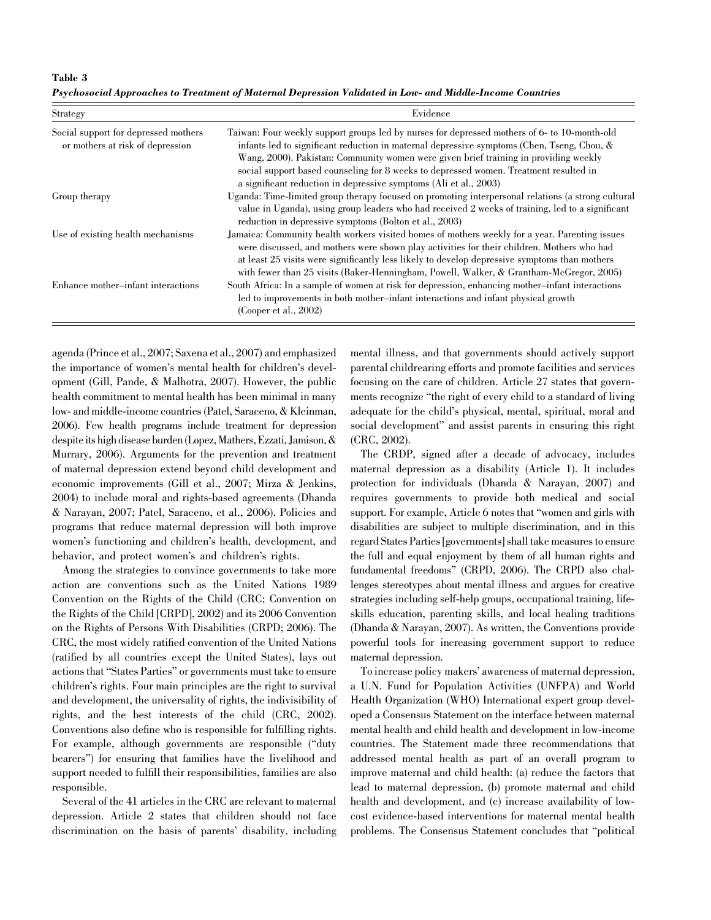Table 3 Psychosocial Approaches to Treatment of Maternal Depression Validated in Low- and Middle-Income Countries

| <b>Strategy</b>                                                          | Evidence                                                                                                                                                                                                                                                                                                                                                                                                                                         |
|--------------------------------------------------------------------------|--------------------------------------------------------------------------------------------------------------------------------------------------------------------------------------------------------------------------------------------------------------------------------------------------------------------------------------------------------------------------------------------------------------------------------------------------|
| Social support for depressed mothers<br>or mothers at risk of depression | Taiwan: Four weekly support groups led by nurses for depressed mothers of 6- to 10-month-old<br>infants led to significant reduction in maternal depressive symptoms (Chen, Tseng, Chou, &<br>Wang, 2000). Pakistan: Community women were given brief training in providing weekly<br>social support based counseling for 8 weeks to depressed women. Treatment resulted in<br>a significant reduction in depressive symptoms (Ali et al., 2003) |
| Group therapy                                                            | Uganda: Time-limited group therapy focused on promoting interpersonal relations (a strong cultural<br>value in Uganda), using group leaders who had received 2 weeks of training, led to a significant<br>reduction in depressive symptoms (Bolton et al., 2003)                                                                                                                                                                                 |
| Use of existing health mechanisms                                        | Jamaica: Community health workers visited homes of mothers weekly for a year. Parenting issues<br>were discussed, and mothers were shown play activities for their children. Mothers who had<br>at least 25 visits were significantly less likely to develop depressive symptoms than mothers<br>with fewer than 25 visits (Baker-Henningham, Powell, Walker, & Grantham-McGregor, 2005)                                                         |
| Enhance mother-infant interactions                                       | South Africa: In a sample of women at risk for depression, enhancing mother-infant interactions<br>led to improvements in both mother-infant interactions and infant physical growth<br>(Cooper et al., 2002)                                                                                                                                                                                                                                    |

agenda (Prince et al., 2007; Saxena et al., 2007) and emphasized the importance of women's mental health for children's development (Gill, Pande, & Malhotra, 2007). However, the public health commitment to mental health has been minimal in many low- and middle-income countries (Patel, Saraceno, & Kleinman, 2006). Few health programs include treatment for depression despite its high disease burden (Lopez, Mathers, Ezzati, Jamison, & Murrary, 2006). Arguments for the prevention and treatment of maternal depression extend beyond child development and economic improvements (Gill et al., 2007; Mirza & Jenkins, 2004) to include moral and rights-based agreements (Dhanda & Narayan, 2007; Patel, Saraceno, et al., 2006). Policies and programs that reduce maternal depression will both improve women's functioning and children's health, development, and behavior, and protect women's and children's rights.

Among the strategies to convince governments to take more action are conventions such as the United Nations 1989 Convention on the Rights of the Child (CRC; Convention on the Rights of the Child [CRPD], 2002) and its 2006 Convention on the Rights of Persons With Disabilities (CRPD; 2006). The CRC, the most widely ratified convention of the United Nations (ratified by all countries except the United States), lays out actions that ''States Parties'' or governments must take to ensure children's rights. Four main principles are the right to survival and development, the universality of rights, the indivisibility of rights, and the best interests of the child (CRC, 2002). Conventions also define who is responsible for fulfilling rights. For example, although governments are responsible (''duty bearers'') for ensuring that families have the livelihood and support needed to fulfill their responsibilities, families are also responsible.

Several of the 41 articles in the CRC are relevant to maternal depression. Article 2 states that children should not face discrimination on the basis of parents' disability, including mental illness, and that governments should actively support parental childrearing efforts and promote facilities and services focusing on the care of children. Article 27 states that governments recognize ''the right of every child to a standard of living adequate for the child's physical, mental, spiritual, moral and social development'' and assist parents in ensuring this right (CRC, 2002).

The CRDP, signed after a decade of advocacy, includes maternal depression as a disability (Article 1). It includes protection for individuals (Dhanda & Narayan, 2007) and requires governments to provide both medical and social support. For example, Article 6 notes that ''women and girls with disabilities are subject to multiple discrimination, and in this regard States Parties [governments] shall take measures to ensure the full and equal enjoyment by them of all human rights and fundamental freedoms'' (CRPD, 2006). The CRPD also challenges stereotypes about mental illness and argues for creative strategies including self-help groups, occupational training, lifeskills education, parenting skills, and local healing traditions (Dhanda & Narayan, 2007). As written, the Conventions provide powerful tools for increasing government support to reduce maternal depression.

To increase policy makers' awareness of maternal depression, a U.N. Fund for Population Activities (UNFPA) and World Health Organization (WHO) International expert group developed a Consensus Statement on the interface between maternal mental health and child health and development in low-income countries. The Statement made three recommendations that addressed mental health as part of an overall program to improve maternal and child health: (a) reduce the factors that lead to maternal depression, (b) promote maternal and child health and development, and (c) increase availability of lowcost evidence-based interventions for maternal mental health problems. The Consensus Statement concludes that ''political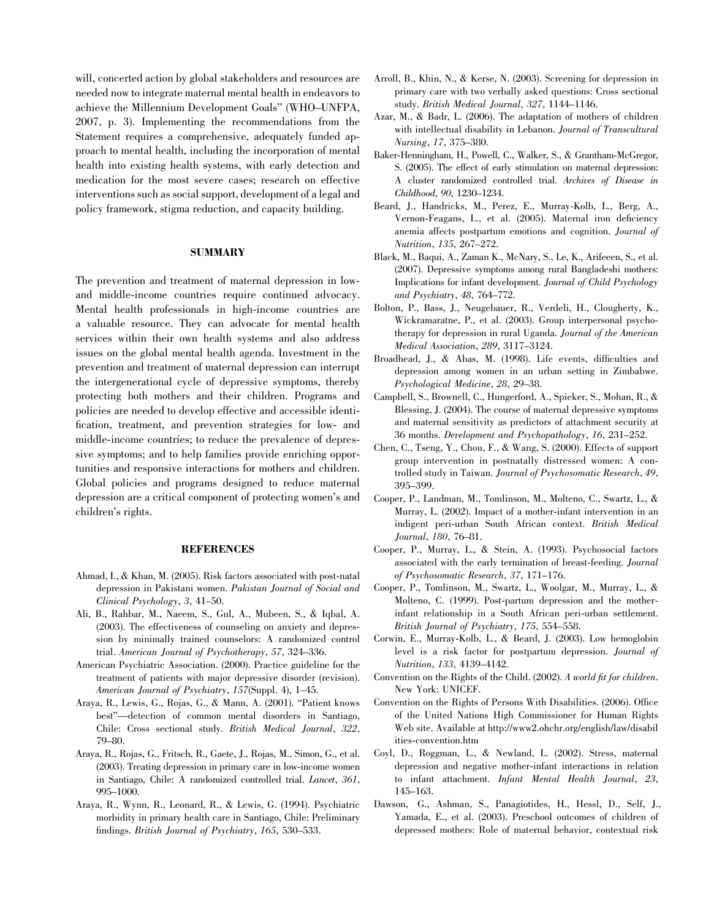will, concerted action by global stakeholders and resources are needed now to integrate maternal mental health in endeavors to achieve the Millennium Development Goals'' (WHO–UNFPA, 2007, p. 3). Implementing the recommendations from the Statement requires a comprehensive, adequately funded approach to mental health, including the incorporation of mental health into existing health systems, with early detection and medication for the most severe cases; research on effective interventions such as social support, development of a legal and policy framework, stigma reduction, and capacity building.

#### **SUMMARY**

The prevention and treatment of maternal depression in lowand middle-income countries require continued advocacy. Mental health professionals in high-income countries are a valuable resource. They can advocate for mental health services within their own health systems and also address issues on the global mental health agenda. Investment in the prevention and treatment of maternal depression can interrupt the intergenerational cycle of depressive symptoms, thereby protecting both mothers and their children. Programs and policies are needed to develop effective and accessible identification, treatment, and prevention strategies for low- and middle-income countries; to reduce the prevalence of depressive symptoms; and to help families provide enriching opportunities and responsive interactions for mothers and children. Global policies and programs designed to reduce maternal depression are a critical component of protecting women's and children's rights.

## **REFERENCES**

- Ahmad, I., & Khan, M. (2005). Risk factors associated with post-natal depression in Pakistani women. Pakistan Journal of Social and Clinical Psychology, 3, 41–50.
- Ali, B., Rahbar, M., Naeem, S., Gul, A., Mubeen, S., & Iqbal, A. (2003). The effectiveness of counseling on anxiety and depression by minimally trained counselors: A randomized control trial. American Journal of Psychotherapy, 57, 324–336.
- American Psychiatric Association. (2000). Practice guideline for the treatment of patients with major depressive disorder (revision). American Journal of Psychiatry, 157(Suppl. 4), 1–45.
- Araya, R., Lewis, G., Rojas, G., & Mann, A. (2001). ''Patient knows best''—detection of common mental disorders in Santiago, Chile: Cross sectional study. British Medical Journal, 322, 79–80.
- Araya, R., Rojas, G., Fritsch, R., Gaete, J., Rojas, M., Simon, G., et al. (2003). Treating depression in primary care in low-income women in Santiago, Chile: A randomized controlled trial. Lancet, 361, 995–1000.
- Araya, R., Wynn, R., Leonard, R., & Lewis, G. (1994). Psychiatric morbidity in primary health care in Santiago, Chile: Preliminary findings. British Journal of Psychiatry, 165, 530–533.
- Arroll, B., Khin, N., & Kerse, N. (2003). Screening for depression in primary care with two verbally asked questions: Cross sectional study. British Medical Journal, 327, 1144–1146.
- Azar, M., & Badr, L. (2006). The adaptation of mothers of children with intellectual disability in Lebanon. Journal of Transcultural Nursing, 17, 375–380.
- Baker-Henningham, H., Powell, C., Walker, S., & Grantham-McGregor, S. (2005). The effect of early stimulation on maternal depression: A cluster randomized controlled trial. Archives of Disease in Childhood, 90, 1230–1234.
- Beard, J., Handricks, M., Perez, E., Murray-Kolb, L., Berg, A., Vernon-Feagans, L., et al. (2005). Maternal iron deficiency anemia affects postpartum emotions and cognition. Journal of Nutrition, 135, 267–272.
- Black, M., Baqui, A., Zaman K., McNary, S., Le, K., Arifeeen, S., et al. (2007). Depressive symptoms among rural Bangladeshi mothers: Implications for infant development. Journal of Child Psychology and Psychiatry, 48, 764–772.
- Bolton, P., Bass, J., Neugebauer, R., Verdeli, H., Clougherty, K., Wickramaratne, P., et al. (2003). Group interpersonal psychotherapy for depression in rural Uganda. Journal of the American Medical Association, 289, 3117–3124.
- Broadhead, J., & Abas, M. (1998). Life events, difficulties and depression among women in an urban setting in Zimbabwe. Psychological Medicine, 28, 29–38.
- Campbell, S., Brownell, C., Hungerford, A., Spieker, S., Mohan, R., & Blessing, J. (2004). The course of maternal depressive symptoms and maternal sensitivity as predictors of attachment security at 36 months. Development and Psychopathology, 16, 231–252.
- Chen, C., Tseng, Y., Chou, F., & Wang, S. (2000). Effects of support group intervention in postnatally distressed women: A controlled study in Taiwan. Journal of Psychosomatic Research, 49, 395–399.
- Cooper, P., Landman, M., Tomlinson, M., Molteno, C., Swartz, L., & Murray, L. (2002). Impact of a mother-infant intervention in an indigent peri-urban South African context. British Medical Journal, 180, 76–81.
- Cooper, P., Murray, L., & Stein, A. (1993). Psychosocial factors associated with the early termination of breast-feeding. Journal of Psychosomatic Research, 37, 171–176.
- Cooper, P., Tomlinson, M., Swartz, L., Woolgar, M., Murray, L., & Molteno, C. (1999). Post-partum depression and the motherinfant relationship in a South African peri-urban settlement. British Journal of Psychiatry, 175, 554–558.
- Corwin, E., Murray-Kolb, L., & Beard, J. (2003). Low hemoglobin level is a risk factor for postpartum depression. Journal of Nutrition, 133, 4139–4142.
- Convention on the Rights of the Child. (2002). A world fit for children. New York: UNICEF.
- Convention on the Rights of Persons With Disabilities. (2006). Office of the United Nations High Commissioner for Human Rights Web site. Available at http://www2.ohchr.org/english/law/disabil ities-convention.htm
- Coyl, D., Roggman, L., & Newland, L. (2002). Stress, maternal depression and negative mother-infant interactions in relation to infant attachment. Infant Mental Health Journal, 23, 145–163.
- Dawson, G., Ashman, S., Panagiotides, H., Hessl, D., Self, J., Yamada, E., et al. (2003). Preschool outcomes of children of depressed mothers: Role of maternal behavior, contextual risk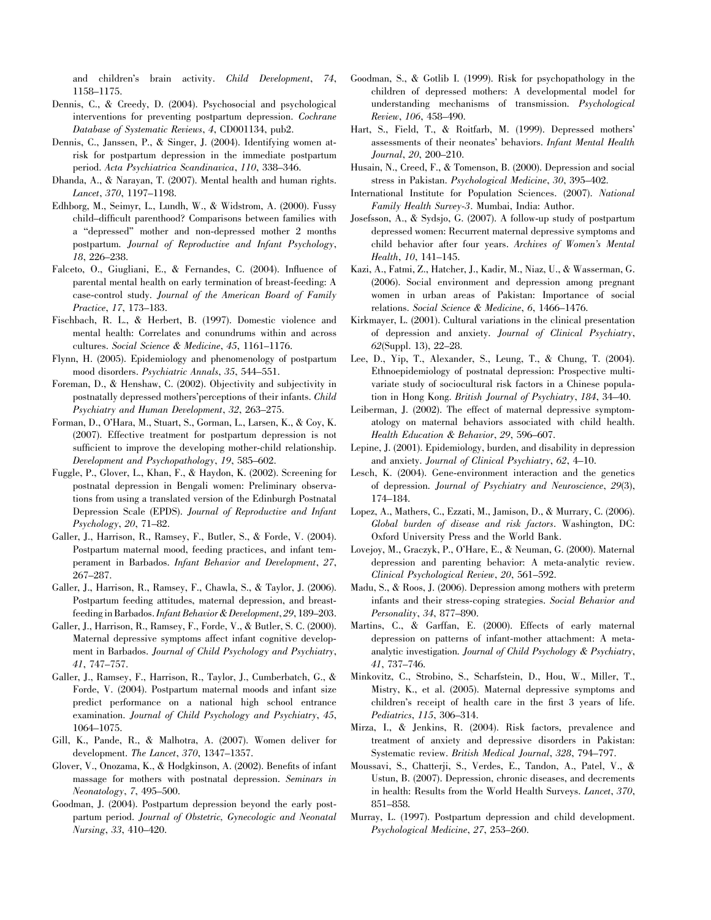and children's brain activity. Child Development, 74, 1158–1175.

- Dennis, C., & Creedy, D. (2004). Psychosocial and psychological interventions for preventing postpartum depression. Cochrane Database of Systematic Reviews, 4, CD001134, pub2.
- Dennis, C., Janssen, P., & Singer, J. (2004). Identifying women atrisk for postpartum depression in the immediate postpartum period. Acta Psychiatrica Scandinavica, 110, 338–346.
- Dhanda, A., & Narayan, T. (2007). Mental health and human rights. Lancet, 370, 1197–1198.
- Edhborg, M., Seimyr, L., Lundh, W., & Widstrom, A. (2000). Fussy child–difficult parenthood? Comparisons between families with a ''depressed'' mother and non-depressed mother 2 months postpartum. Journal of Reproductive and Infant Psychology, 18, 226–238.
- Falceto, O., Giugliani, E., & Fernandes, C. (2004). Influence of parental mental health on early termination of breast-feeding: A case-control study. Journal of the American Board of Family Practice, 17, 173–183.
- Fischbach, R. L., & Herbert, B. (1997). Domestic violence and mental health: Correlates and conundrums within and across cultures. Social Science & Medicine, 45, 1161–1176.
- Flynn, H. (2005). Epidemiology and phenomenology of postpartum mood disorders. Psychiatric Annals, 35, 544–551.
- Foreman, D., & Henshaw, C. (2002). Objectivity and subjectivity in postnatally depressed mothers'perceptions of their infants. Child Psychiatry and Human Development, 32, 263–275.
- Forman, D., O'Hara, M., Stuart, S., Gorman, L., Larsen, K., & Coy, K. (2007). Effective treatment for postpartum depression is not sufficient to improve the developing mother-child relationship. Development and Psychopathology, 19, 585–602.
- Fuggle, P., Glover, L., Khan, F., & Haydon, K. (2002). Screening for postnatal depression in Bengali women: Preliminary observations from using a translated version of the Edinburgh Postnatal Depression Scale (EPDS). Journal of Reproductive and Infant Psychology, 20, 71–82.
- Galler, J., Harrison, R., Ramsey, F., Butler, S., & Forde, V. (2004). Postpartum maternal mood, feeding practices, and infant temperament in Barbados. Infant Behavior and Development, 27, 267–287.
- Galler, J., Harrison, R., Ramsey, F., Chawla, S., & Taylor, J. (2006). Postpartum feeding attitudes, maternal depression, and breastfeeding in Barbados. Infant Behavior & Development, 29, 189–203.
- Galler, J., Harrison, R., Ramsey, F., Forde, V., & Butler, S. C. (2000). Maternal depressive symptoms affect infant cognitive development in Barbados. Journal of Child Psychology and Psychiatry, 41, 747–757.
- Galler, J., Ramsey, F., Harrison, R., Taylor, J., Cumberbatch, G., & Forde, V. (2004). Postpartum maternal moods and infant size predict performance on a national high school entrance examination. Journal of Child Psychology and Psychiatry, 45, 1064–1075.
- Gill, K., Pande, R., & Malhotra, A. (2007). Women deliver for development. The Lancet, 370, 1347–1357.
- Glover, V., Onozama, K., & Hodgkinson, A. (2002). Benefits of infant massage for mothers with postnatal depression. Seminars in Neonatology, 7, 495–500.
- Goodman, J. (2004). Postpartum depression beyond the early postpartum period. Journal of Obstetric, Gynecologic and Neonatal Nursing, 33, 410–420.
- Goodman, S., & Gotlib I. (1999). Risk for psychopathology in the children of depressed mothers: A developmental model for understanding mechanisms of transmission. Psychological Review, 106, 458–490.
- Hart, S., Field, T., & Roitfarb, M. (1999). Depressed mothers' assessments of their neonates' behaviors. Infant Mental Health Journal, 20, 200–210.
- Husain, N., Creed, F., & Tomenson, B. (2000). Depression and social stress in Pakistan. Psychological Medicine, 30, 395–402.
- International Institute for Population Sciences. (2007). National Family Health Survey-3. Mumbai, India: Author.
- Josefsson, A., & Sydsjo, G. (2007). A follow-up study of postpartum depressed women: Recurrent maternal depressive symptoms and child behavior after four years. Archives of Women's Mental Health, 10, 141–145.
- Kazi, A., Fatmi, Z., Hatcher, J., Kadir, M., Niaz, U., & Wasserman, G. (2006). Social environment and depression among pregnant women in urban areas of Pakistan: Importance of social relations. Social Science & Medicine, 6, 1466–1476.
- Kirkmayer, L. (2001). Cultural variations in the clinical presentation of depression and anxiety. Journal of Clinical Psychiatry, 62(Suppl. 13), 22–28.
- Lee, D., Yip, T., Alexander, S., Leung, T., & Chung, T. (2004). Ethnoepidemiology of postnatal depression: Prospective multivariate study of sociocultural risk factors in a Chinese population in Hong Kong. British Journal of Psychiatry, 184, 34–40.
- Leiberman, J. (2002). The effect of maternal depressive symptomatology on maternal behaviors associated with child health. Health Education & Behavior, 29, 596–607.
- Lepine, J. (2001). Epidemiology, burden, and disability in depression and anxiety. Journal of Clinical Psychiatry, 62, 4–10.
- Lesch, K. (2004). Gene-environment interaction and the genetics of depression. Journal of Psychiatry and Neuroscience, 29(3), 174–184.
- Lopez, A., Mathers, C., Ezzati, M., Jamison, D., & Murrary, C. (2006). Global burden of disease and risk factors. Washington, DC: Oxford University Press and the World Bank.
- Lovejoy, M., Graczyk, P., O'Hare, E., & Neuman, G. (2000). Maternal depression and parenting behavior: A meta-analytic review. Clinical Psychological Review, 20, 561–592.
- Madu, S., & Roos, J. (2006). Depression among mothers with preterm infants and their stress-coping strategies. Social Behavior and Personality, 34, 877–890.
- Martins, C., & Garffan, E. (2000). Effects of early maternal depression on patterns of infant-mother attachment: A metaanalytic investigation. Journal of Child Psychology & Psychiatry, 41, 737–746.
- Minkovitz, C., Strobino, S., Scharfstein, D., Hou, W., Miller, T., Mistry, K., et al. (2005). Maternal depressive symptoms and children's receipt of health care in the first 3 years of life. Pediatrics, 115, 306–314.
- Mirza, I., & Jenkins, R. (2004). Risk factors, prevalence and treatment of anxiety and depressive disorders in Pakistan: Systematic review. British Medical Journal, 328, 794–797.
- Moussavi, S., Chatterji, S., Verdes, E., Tandon, A., Patel, V., & Ustun, B. (2007). Depression, chronic diseases, and decrements in health: Results from the World Health Surveys. Lancet, 370, 851–858.
- Murray, L. (1997). Postpartum depression and child development. Psychological Medicine, 27, 253–260.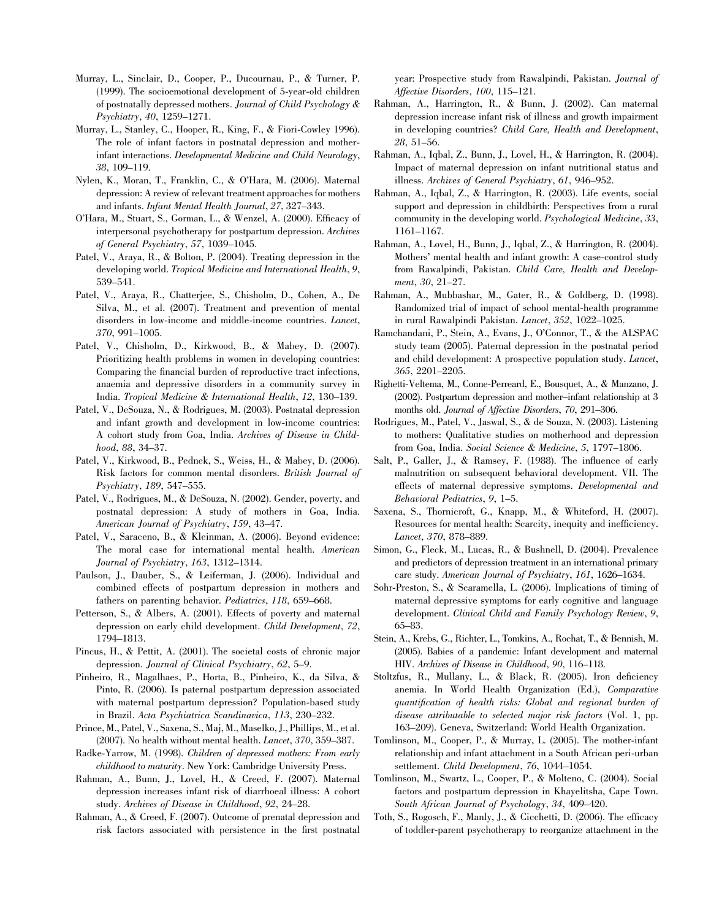- Murray, L., Sinclair, D., Cooper, P., Ducournau, P., & Turner, P. (1999). The socioemotional development of 5-year-old children of postnatally depressed mothers. Journal of Child Psychology & Psychiatry, 40, 1259–1271.
- Murray, L., Stanley, C., Hooper, R., King, F., & Fiori-Cowley 1996). The role of infant factors in postnatal depression and motherinfant interactions. Developmental Medicine and Child Neurology, 38, 109–119.
- Nylen, K., Moran, T., Franklin, C., & O'Hara, M. (2006). Maternal depression: A review of relevant treatment approaches for mothers and infants. Infant Mental Health Journal, 27, 327–343.
- O'Hara, M., Stuart, S., Gorman, L., & Wenzel, A. (2000). Efficacy of interpersonal psychotherapy for postpartum depression. Archives of General Psychiatry, 57, 1039–1045.
- Patel, V., Araya, R., & Bolton, P. (2004). Treating depression in the developing world. Tropical Medicine and International Health, 9, 539–541.
- Patel, V., Araya, R., Chatterjee, S., Chisholm, D., Cohen, A., De Silva, M., et al. (2007). Treatment and prevention of mental disorders in low-income and middle-income countries. Lancet, 370, 991–1005.
- Patel, V., Chisholm, D., Kirkwood, B., & Mabey, D. (2007). Prioritizing health problems in women in developing countries: Comparing the financial burden of reproductive tract infections, anaemia and depressive disorders in a community survey in India. Tropical Medicine & International Health, 12, 130–139.
- Patel, V., DeSouza, N., & Rodrigues, M. (2003). Postnatal depression and infant growth and development in low-income countries: A cohort study from Goa, India. Archives of Disease in Childhood, 88, 34–37.
- Patel, V., Kirkwood, B., Pednek, S., Weiss, H., & Mabey, D. (2006). Risk factors for common mental disorders. British Journal of Psychiatry, 189, 547–555.
- Patel, V., Rodrigues, M., & DeSouza, N. (2002). Gender, poverty, and postnatal depression: A study of mothers in Goa, India. American Journal of Psychiatry, 159, 43–47.
- Patel, V., Saraceno, B., & Kleinman, A. (2006). Beyond evidence: The moral case for international mental health. American Journal of Psychiatry, 163, 1312–1314.
- Paulson, J., Dauber, S., & Leiferman, J. (2006). Individual and combined effects of postpartum depression in mothers and fathers on parenting behavior. Pediatrics, 118, 659–668.
- Petterson, S., & Albers, A. (2001). Effects of poverty and maternal depression on early child development. Child Development, 72, 1794–1813.
- Pincus, H., & Pettit, A. (2001). The societal costs of chronic major depression. Journal of Clinical Psychiatry, 62, 5–9.
- Pinheiro, R., Magalhaes, P., Horta, B., Pinheiro, K., da Silva, & Pinto, R. (2006). Is paternal postpartum depression associated with maternal postpartum depression? Population-based study in Brazil. Acta Psychiatrica Scandinavica, 113, 230–232.
- Prince, M., Patel, V., Saxena, S., Maj, M., Maselko, J., Phillips, M., et al. (2007). No health without mental health. Lancet, 370, 359–387.
- Radke-Yarrow, M. (1998). Children of depressed mothers: From early childhood to maturity. New York: Cambridge University Press.
- Rahman, A., Bunn, J., Lovel, H., & Creed, F. (2007). Maternal depression increases infant risk of diarrhoeal illness: A cohort study. Archives of Disease in Childhood, 92, 24–28.
- Rahman, A., & Creed, F. (2007). Outcome of prenatal depression and risk factors associated with persistence in the first postnatal

year: Prospective study from Rawalpindi, Pakistan. Journal of Affective Disorders, 100, 115–121.

- Rahman, A., Harrington, R., & Bunn, J. (2002). Can maternal depression increase infant risk of illness and growth impairment in developing countries? Child Care, Health and Development, 28, 51–56.
- Rahman, A., Iqbal, Z., Bunn, J., Lovel, H., & Harrington, R. (2004). Impact of maternal depression on infant nutritional status and illness. Archives of General Psychiatry, 61, 946–952.
- Rahman, A., Iqbal, Z., & Harrington, R. (2003). Life events, social support and depression in childbirth: Perspectives from a rural community in the developing world. Psychological Medicine, 33, 1161–1167.
- Rahman, A., Lovel, H., Bunn, J., Iqbal, Z., & Harrington, R. (2004). Mothers' mental health and infant growth: A case-control study from Rawalpindi, Pakistan. Child Care, Health and Development, 30, 21–27.
- Rahman, A., Mubbashar, M., Gater, R., & Goldberg, D. (1998). Randomized trial of impact of school mental-health programme in rural Rawalpindi Pakistan. Lancet, 352, 1022–1025.
- Ramchandani, P., Stein, A., Evans, J., O'Connor, T., & the ALSPAC study team (2005). Paternal depression in the postnatal period and child development: A prospective population study. Lancet, 365, 2201–2205.
- Righetti-Veltema, M., Conne-Perreard, E., Bousquet, A., & Manzano, J. (2002). Postpartum depression and mother–infant relationship at 3 months old. Journal of Affective Disorders, 70, 291–306.
- Rodrigues, M., Patel, V., Jaswal, S., & de Souza, N. (2003). Listening to mothers: Qualitative studies on motherhood and depression from Goa, India. Social Science & Medicine, 5, 1797–1806.
- Salt, P., Galler, J., & Ramsey, F. (1988). The influence of early malnutrition on subsequent behavioral development. VII. The effects of maternal depressive symptoms. Developmental and Behavioral Pediatrics, 9, 1–5.
- Saxena, S., Thornicroft, G., Knapp, M., & Whiteford, H. (2007). Resources for mental health: Scarcity, inequity and inefficiency. Lancet, 370, 878–889.
- Simon, G., Fleck, M., Lucas, R., & Bushnell, D. (2004). Prevalence and predictors of depression treatment in an international primary care study. American Journal of Psychiatry, 161, 1626–1634.
- Sohr-Preston, S., & Scaramella, L. (2006). Implications of timing of maternal depressive symptoms for early cognitive and language development. Clinical Child and Family Psychology Review, 9, 65–83.
- Stein, A., Krebs, G., Richter, L., Tomkins, A., Rochat, T., & Bennish, M. (2005). Babies of a pandemic: Infant development and maternal HIV. Archives of Disease in Childhood, 90, 116–118.
- Stoltzfus, R., Mullany, L., & Black, R. (2005). Iron deficiency anemia. In World Health Organization (Ed.), Comparative quantification of health risks: Global and regional burden of disease attributable to selected major risk factors (Vol. 1, pp. 163–209). Geneva, Switzerland: World Health Organization.
- Tomlinson, M., Cooper, P., & Murray, L. (2005). The mother-infant relationship and infant attachment in a South African peri-urban settlement. Child Development, 76, 1044–1054.
- Tomlinson, M., Swartz, L., Cooper, P., & Molteno, C. (2004). Social factors and postpartum depression in Khayelitsha, Cape Town. South African Journal of Psychology, 34, 409–420.
- Toth, S., Rogosch, F., Manly, J., & Cicchetti, D. (2006). The efficacy of toddler-parent psychotherapy to reorganize attachment in the